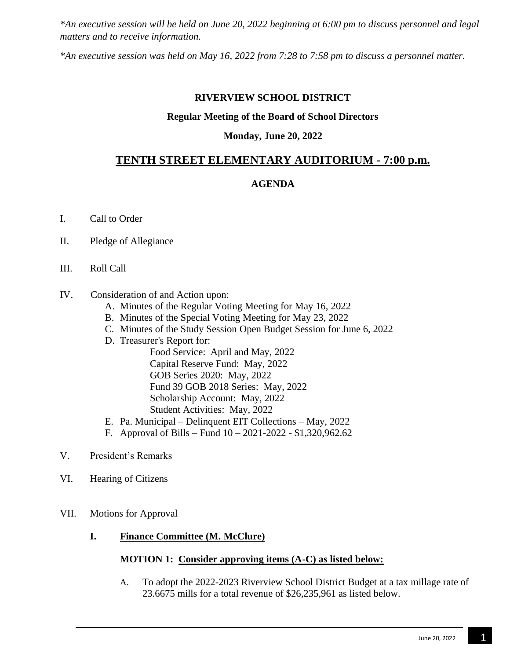*\*An executive session will be held on June 20, 2022 beginning at 6:00 pm to discuss personnel and legal matters and to receive information.*

*\*An executive session was held on May 16, 2022 from 7:28 to 7:58 pm to discuss a personnel matter.*

### **RIVERVIEW SCHOOL DISTRICT**

### **Regular Meeting of the Board of School Directors**

### **Monday, June 20, 2022**

# **TENTH STREET ELEMENTARY AUDITORIUM - 7:00 p.m.**

## **AGENDA**

- I. Call to Order
- II. Pledge of Allegiance
- III. Roll Call
- IV.Consideration of and Action upon:
	- A. Minutes of the Regular Voting Meeting for May 16, 2022
	- B. Minutes of the Special Voting Meeting for May 23, 2022
	- C. Minutes of the Study Session Open Budget Session for June 6, 2022
	- D. Treasurer's Report for:
		- Food Service: April and May, 2022 Capital Reserve Fund: May, 2022 GOB Series 2020: May, 2022 Fund 39 GOB 2018 Series: May, 2022 Scholarship Account: May, 2022 Student Activities: May, 2022
	- E. Pa. Municipal Delinquent EIT Collections May, 2022
	- F. Approval of Bills Fund 10 2021-2022 \$1,320,962.62
- V. President's Remarks
- VI. Hearing of Citizens
- VII. Motions for Approval
	- **I. Finance Committee (M. McClure)**

## **MOTION 1: Consider approving items (A-C) as listed below:**

A. To adopt the 2022-2023 Riverview School District Budget at a tax millage rate of 23.6675 mills for a total revenue of \$26,235,961 as listed below.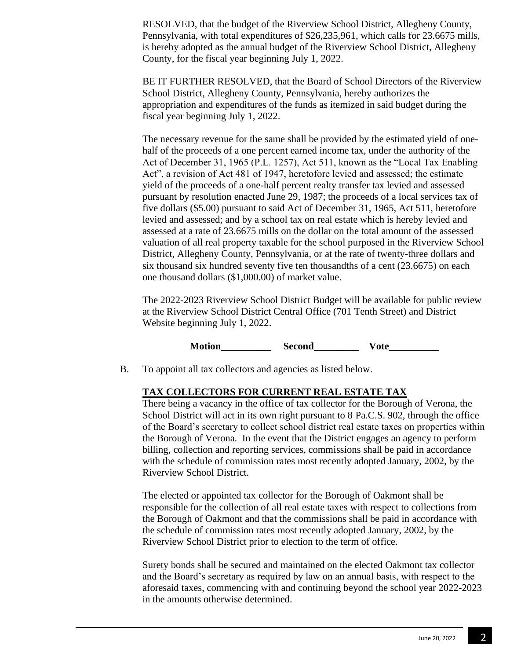RESOLVED, that the budget of the Riverview School District, Allegheny County, Pennsylvania, with total expenditures of \$26,235,961, which calls for 23.6675 mills, is hereby adopted as the annual budget of the Riverview School District, Allegheny County, for the fiscal year beginning July 1, 2022.

BE IT FURTHER RESOLVED, that the Board of School Directors of the Riverview School District, Allegheny County, Pennsylvania, hereby authorizes the appropriation and expenditures of the funds as itemized in said budget during the fiscal year beginning July 1, 2022.

The necessary revenue for the same shall be provided by the estimated yield of onehalf of the proceeds of a one percent earned income tax, under the authority of the Act of December 31, 1965 (P.L. 1257), Act 511, known as the "Local Tax Enabling Act", a revision of Act 481 of 1947, heretofore levied and assessed; the estimate yield of the proceeds of a one-half percent realty transfer tax levied and assessed pursuant by resolution enacted June 29, 1987; the proceeds of a local services tax of five dollars (\$5.00) pursuant to said Act of December 31, 1965, Act 511, heretofore levied and assessed; and by a school tax on real estate which is hereby levied and assessed at a rate of 23.6675 mills on the dollar on the total amount of the assessed valuation of all real property taxable for the school purposed in the Riverview School District, Allegheny County, Pennsylvania, or at the rate of twenty-three dollars and six thousand six hundred seventy five ten thousandths of a cent (23.6675) on each one thousand dollars (\$1,000.00) of market value.

The 2022-2023 Riverview School District Budget will be available for public review at the Riverview School District Central Office (701 Tenth Street) and District Website beginning July 1, 2022.

**Notion Second Vote** 

B. To appoint all tax collectors and agencies as listed below.

## **TAX COLLECTORS FOR CURRENT REAL ESTATE TAX**

There being a vacancy in the office of tax collector for the Borough of Verona, the School District will act in its own right pursuant to 8 Pa.C.S. 902, through the office of the Board's secretary to collect school district real estate taxes on properties within the Borough of Verona. In the event that the District engages an agency to perform billing, collection and reporting services, commissions shall be paid in accordance with the schedule of commission rates most recently adopted January, 2002, by the Riverview School District.

The elected or appointed tax collector for the Borough of Oakmont shall be responsible for the collection of all real estate taxes with respect to collections from the Borough of Oakmont and that the commissions shall be paid in accordance with the schedule of commission rates most recently adopted January, 2002, by the Riverview School District prior to election to the term of office.

Surety bonds shall be secured and maintained on the elected Oakmont tax collector and the Board's secretary as required by law on an annual basis, with respect to the aforesaid taxes, commencing with and continuing beyond the school year 2022-2023 in the amounts otherwise determined.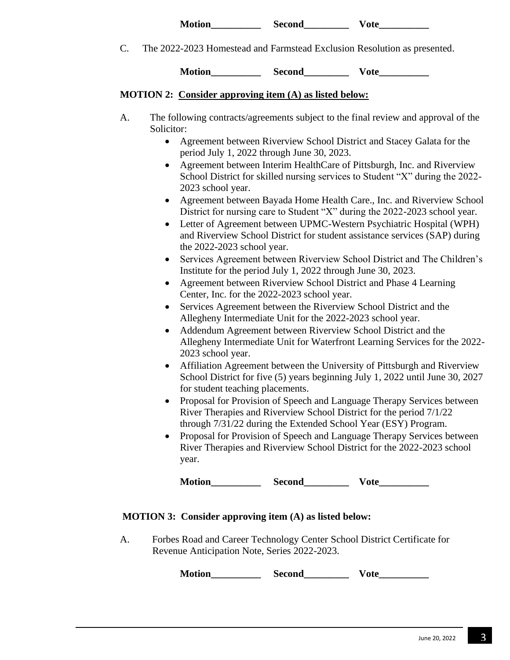| <b>Motion</b> | Second |  |
|---------------|--------|--|
|---------------|--------|--|

C. The 2022-2023 Homestead and Farmstead Exclusion Resolution as presented.

Motion Second Vote

### **MOTION 2: Consider approving item (A) as listed below:**

- A. The following contracts/agreements subject to the final review and approval of the Solicitor:
	- Agreement between Riverview School District and Stacey Galata for the period July 1, 2022 through June 30, 2023.
	- Agreement between Interim HealthCare of Pittsburgh, Inc. and Riverview School District for skilled nursing services to Student "X" during the 2022- 2023 school year.
	- Agreement between Bayada Home Health Care., Inc. and Riverview School District for nursing care to Student "X" during the 2022-2023 school year.
	- Letter of Agreement between UPMC-Western Psychiatric Hospital (WPH) and Riverview School District for student assistance services (SAP) during the 2022-2023 school year.
	- Services Agreement between Riverview School District and The Children's Institute for the period July 1, 2022 through June 30, 2023.
	- Agreement between Riverview School District and Phase 4 Learning Center, Inc. for the 2022-2023 school year.
	- Services Agreement between the Riverview School District and the Allegheny Intermediate Unit for the 2022-2023 school year.
	- Addendum Agreement between Riverview School District and the Allegheny Intermediate Unit for Waterfront Learning Services for the 2022- 2023 school year.
	- Affiliation Agreement between the University of Pittsburgh and Riverview School District for five (5) years beginning July 1, 2022 until June 30, 2027 for student teaching placements.
	- Proposal for Provision of Speech and Language Therapy Services between River Therapies and Riverview School District for the period 7/1/22 through 7/31/22 during the Extended School Year (ESY) Program.
	- Proposal for Provision of Speech and Language Therapy Services between River Therapies and Riverview School District for the 2022-2023 school year.

**Motion\_\_\_\_\_\_\_\_\_\_ Second\_\_\_\_\_\_\_\_\_ Vote\_\_\_\_\_\_\_\_\_\_**

## **MOTION 3: Consider approving item (A) as listed below:**

A. Forbes Road and Career Technology Center School District Certificate for Revenue Anticipation Note, Series 2022-2023.

Motion\_\_\_\_\_\_\_\_\_\_\_\_\_ Second\_\_\_\_\_\_\_\_\_\_\_\_ Vote\_\_\_\_\_\_\_\_\_\_\_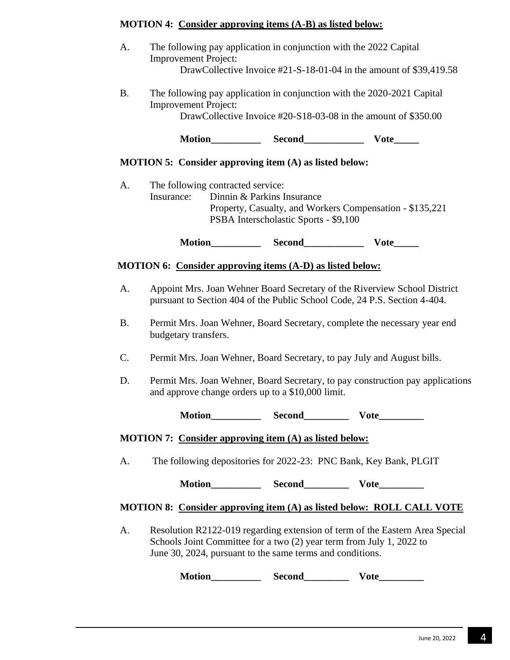| <b>MOTION 4: Consider approving items (A-B) as listed below:</b> |  |
|------------------------------------------------------------------|--|
|                                                                  |  |

| A.        | <b>Improvement Project:</b>                     | The following pay application in conjunction with the 2022 Capital                                                                | DrawCollective Invoice #21-S-18-01-04 in the amount of \$39,419.58                                                                                     |  |
|-----------|-------------------------------------------------|-----------------------------------------------------------------------------------------------------------------------------------|--------------------------------------------------------------------------------------------------------------------------------------------------------|--|
| <b>B.</b> | <b>Improvement Project:</b>                     |                                                                                                                                   | The following pay application in conjunction with the 2020-2021 Capital<br>DrawCollective Invoice #20-S18-03-08 in the amount of \$350.00              |  |
|           |                                                 |                                                                                                                                   |                                                                                                                                                        |  |
|           |                                                 | <b>MOTION 5: Consider approving item (A) as listed below:</b>                                                                     |                                                                                                                                                        |  |
| A.        | The following contracted service:<br>Insurance: | Dinnin & Parkins Insurance<br>PSBA Interscholastic Sports - \$9,100                                                               | Property, Casualty, and Workers Compensation - \$135,221                                                                                               |  |
|           |                                                 |                                                                                                                                   | $\bf Vote$ <sub>______</sub>                                                                                                                           |  |
|           |                                                 | MOTION 6: Consider approving items (A-D) as listed below:                                                                         |                                                                                                                                                        |  |
| A.        |                                                 |                                                                                                                                   | Appoint Mrs. Joan Wehner Board Secretary of the Riverview School District<br>pursuant to Section 404 of the Public School Code, 24 P.S. Section 4-404. |  |
| <b>B.</b> | budgetary transfers.                            |                                                                                                                                   | Permit Mrs. Joan Wehner, Board Secretary, complete the necessary year end                                                                              |  |
| $C$ .     |                                                 |                                                                                                                                   | Permit Mrs. Joan Wehner, Board Secretary, to pay July and August bills.                                                                                |  |
| D.        |                                                 | and approve change orders up to a \$10,000 limit.                                                                                 | Permit Mrs. Joan Wehner, Board Secretary, to pay construction pay applications                                                                         |  |
|           |                                                 |                                                                                                                                   |                                                                                                                                                        |  |
|           |                                                 | MOTION 7: Consider approving item (A) as listed below:                                                                            |                                                                                                                                                        |  |
| A.        |                                                 |                                                                                                                                   | The following depositories for 2022-23: PNC Bank, Key Bank, PLGIT                                                                                      |  |
|           |                                                 | Motion Second Vote                                                                                                                |                                                                                                                                                        |  |
|           |                                                 |                                                                                                                                   | MOTION 8: Consider approving item (A) as listed below: ROLL CALL VOTE                                                                                  |  |
| A.        |                                                 | Schools Joint Committee for a two (2) year term from July 1, 2022 to<br>June 30, 2024, pursuant to the same terms and conditions. | Resolution R2122-019 regarding extension of term of the Eastern Area Special                                                                           |  |

**Motion\_\_\_\_\_\_\_\_\_\_ Second\_\_\_\_\_\_\_\_\_ Vote\_\_\_\_\_\_\_\_\_**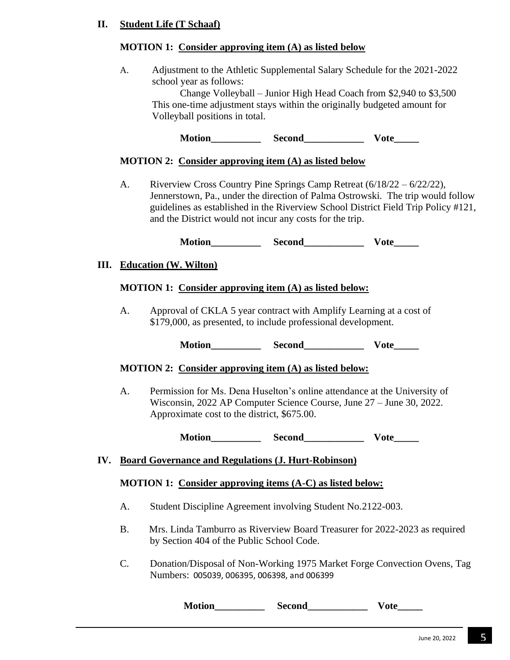## **II. Student Life (T Schaaf)**

### **MOTION 1: Consider approving item (A) as listed below**

A. Adjustment to the Athletic Supplemental Salary Schedule for the 2021-2022 school year as follows:

Change Volleyball – Junior High Head Coach from \$2,940 to \$3,500 This one-time adjustment stays within the originally budgeted amount for Volleyball positions in total.

**Motion Second Vote** 

#### **MOTION 2: Consider approving item (A) as listed below**

A. Riverview Cross Country Pine Springs Camp Retreat (6/18/22 – 6/22/22), Jennerstown, Pa., under the direction of Palma Ostrowski. The trip would follow guidelines as established in the Riverview School District Field Trip Policy #121, and the District would not incur any costs for the trip.

**Motion\_\_\_\_\_\_\_\_\_\_ Second\_\_\_\_\_\_\_\_\_\_\_\_ Vote\_\_\_\_\_**

#### **III. Education (W. Wilton)**

#### **MOTION 1: Consider approving item (A) as listed below:**

A. Approval of CKLA 5 year contract with Amplify Learning at a cost of \$179,000, as presented, to include professional development.

**Motion Second Vote** 

#### **MOTION 2: Consider approving item (A) as listed below:**

A. Permission for Ms. Dena Huselton's online attendance at the University of Wisconsin, 2022 AP Computer Science Course, June 27 – June 30, 2022. Approximate cost to the district, \$675.00.

**Motion Second Vote** 

### **IV. Board Governance and Regulations (J. Hurt-Robinson)**

#### **MOTION 1: Consider approving items (A-C) as listed below:**

- A. Student Discipline Agreement involving Student No.2122-003.
- B. Mrs. Linda Tamburro as Riverview Board Treasurer for 2022-2023 as required by Section 404 of the Public School Code.
- C. Donation/Disposal of Non-Working 1975 Market Forge Convection Ovens, Tag Numbers: 005039, 006395, 006398, and 006399

**Motion\_\_\_\_\_\_\_\_\_\_ Second\_\_\_\_\_\_\_\_\_\_\_\_ Vote\_\_\_\_\_**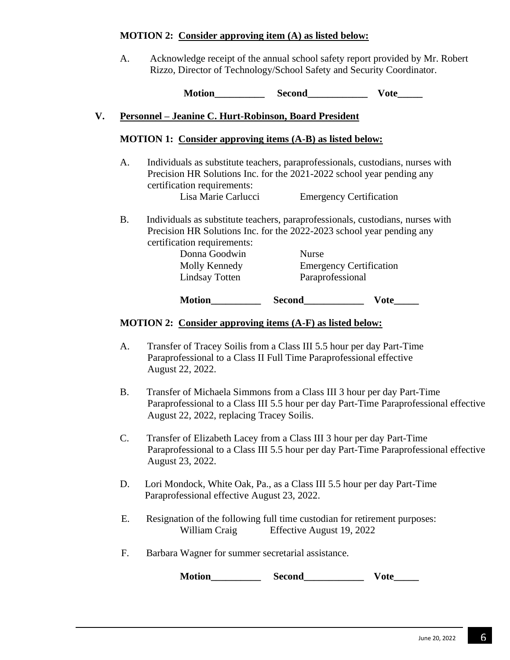### **MOTION 2: Consider approving item (A) as listed below:**

A. Acknowledge receipt of the annual school safety report provided by Mr. Robert Rizzo, Director of Technology/School Safety and Security Coordinator.

**Motion Second Vote** 

## **V. Personnel – Jeanine C. Hurt-Robinson, Board President**

### **MOTION 1: Consider approving items (A-B) as listed below:**

A. Individuals as substitute teachers, paraprofessionals, custodians, nurses with Precision HR Solutions Inc. for the 2021-2022 school year pending any certification requirements:

Lisa Marie Carlucci Emergency Certification

B. Individuals as substitute teachers, paraprofessionals, custodians, nurses with Precision HR Solutions Inc. for the 2022-2023 school year pending any certification requirements:

| Donna Goodwin  | Nurse                          |  |
|----------------|--------------------------------|--|
| Molly Kennedy  | <b>Emergency Certification</b> |  |
| Lindsay Totten | Paraprofessional               |  |
|                |                                |  |

**Motion Second Vote** 

# **MOTION 2: Consider approving items (A-F) as listed below:**

- A. Transfer of Tracey Soilis from a Class III 5.5 hour per day Part-Time Paraprofessional to a Class II Full Time Paraprofessional effective August 22, 2022.
- B. Transfer of Michaela Simmons from a Class III 3 hour per day Part-Time Paraprofessional to a Class III 5.5 hour per day Part-Time Paraprofessional effective August 22, 2022, replacing Tracey Soilis.
- C. Transfer of Elizabeth Lacey from a Class III 3 hour per day Part-Time Paraprofessional to a Class III 5.5 hour per day Part-Time Paraprofessional effective August 23, 2022.
- D. Lori Mondock, White Oak, Pa., as a Class III 5.5 hour per day Part-Time Paraprofessional effective August 23, 2022.
- E. Resignation of the following full time custodian for retirement purposes: William Craig Effective August 19, 2022
- F. Barbara Wagner for summer secretarial assistance.

Motion\_\_\_\_\_\_\_\_\_\_\_\_ Second\_\_\_\_\_\_\_\_\_\_\_\_\_\_ Vote\_\_\_\_\_\_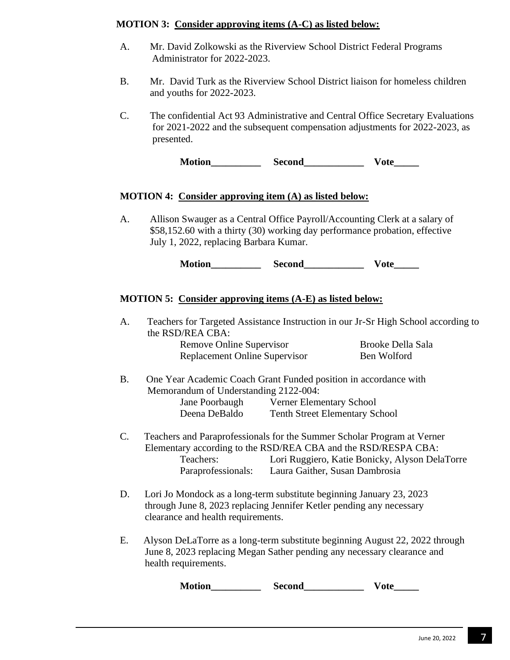### **MOTION 3: Consider approving items (A-C) as listed below:**

- A. Mr. David Zolkowski as the Riverview School District Federal Programs Administrator for 2022-2023.
- B. Mr. David Turk as the Riverview School District liaison for homeless children and youths for 2022-2023.
- C. The confidential Act 93 Administrative and Central Office Secretary Evaluations for 2021-2022 and the subsequent compensation adjustments for 2022-2023, as presented.

**Motion Second Vote** 

### **MOTION 4: Consider approving item (A) as listed below:**

A. Allison Swauger as a Central Office Payroll/Accounting Clerk at a salary of \$58,152.60 with a thirty (30) working day performance probation, effective July 1, 2022, replacing Barbara Kumar.

**Motion Second Vote** 

## **MOTION 5: Consider approving items (A-E) as listed below:**

| A.             | the RSD/REA CBA:                                                                                                                                                                   |                                       | Teachers for Targeted Assistance Instruction in our Jr-Sr High School according to |
|----------------|------------------------------------------------------------------------------------------------------------------------------------------------------------------------------------|---------------------------------------|------------------------------------------------------------------------------------|
|                | Remove Online Supervisor                                                                                                                                                           |                                       | <b>Brooke Della Sala</b>                                                           |
|                | <b>Replacement Online Supervisor</b>                                                                                                                                               |                                       | Ben Wolford                                                                        |
| <b>B.</b>      | One Year Academic Coach Grant Funded position in accordance with<br>Memorandum of Understanding 2122-004:                                                                          |                                       |                                                                                    |
|                | Jane Poorbaugh                                                                                                                                                                     | <b>Verner Elementary School</b>       |                                                                                    |
|                | Deena DeBaldo                                                                                                                                                                      | <b>Tenth Street Elementary School</b> |                                                                                    |
| $\mathbf{C}$ . | Teachers and Paraprofessionals for the Summer Scholar Program at Verner<br>Elementary according to the RSD/REA CBA and the RSD/RESPA CBA:<br>Teachers:<br>Paraprofessionals:       | Laura Gaither, Susan Dambrosia        | Lori Ruggiero, Katie Bonicky, Alyson DelaTorre                                     |
| D.             | Lori Jo Mondock as a long-term substitute beginning January 23, 2023<br>through June 8, 2023 replacing Jennifer Ketler pending any necessary<br>clearance and health requirements. |                                       |                                                                                    |
| Ε.             | Alyson DeLaTorre as a long-term substitute beginning August 22, 2022 through<br>June 8, 2023 replacing Megan Sather pending any necessary clearance and<br>health requirements.    |                                       |                                                                                    |
|                | <b>Motion</b>                                                                                                                                                                      | <b>Second</b>                         | Vote                                                                               |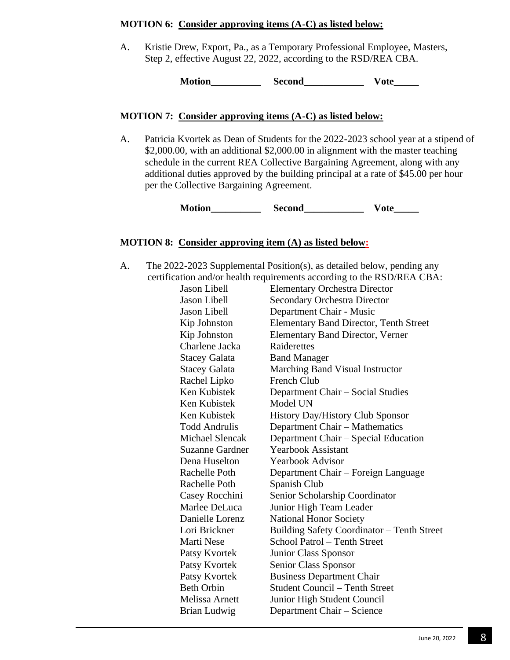#### **MOTION 6: Consider approving items (A-C) as listed below:**

A. Kristie Drew, Export, Pa., as a Temporary Professional Employee, Masters, Step 2, effective August 22, 2022, according to the RSD/REA CBA.

**Motion\_\_\_\_\_\_\_\_\_\_ Second\_\_\_\_\_\_\_\_\_\_\_\_ Vote\_\_\_\_\_**

### **MOTION 7: Consider approving items (A-C) as listed below:**

A. Patricia Kvortek as Dean of Students for the 2022-2023 school year at a stipend of \$2,000.00, with an additional \$2,000.00 in alignment with the master teaching schedule in the current REA Collective Bargaining Agreement, along with any additional duties approved by the building principal at a rate of \$45.00 per hour per the Collective Bargaining Agreement.

**Motion Second Vote** 

### **MOTION 8: Consider approving item (A) as listed below:**

A. The 2022-2023 Supplemental Position(s), as detailed below, pending any certification and/or health requirements according to the RSD/REA CBA:

| Jason Libell           | <b>Elementary Orchestra Director</b>          |
|------------------------|-----------------------------------------------|
| Jason Libell           | <b>Secondary Orchestra Director</b>           |
| <b>Jason Libell</b>    | Department Chair - Music                      |
| Kip Johnston           | <b>Elementary Band Director, Tenth Street</b> |
| Kip Johnston           | <b>Elementary Band Director, Verner</b>       |
| Charlene Jacka         | Raiderettes                                   |
| <b>Stacey Galata</b>   | <b>Band Manager</b>                           |
| <b>Stacey Galata</b>   | Marching Band Visual Instructor               |
| Rachel Lipko           | French Club                                   |
| Ken Kubistek           | Department Chair - Social Studies             |
| Ken Kubistek           | Model UN                                      |
| Ken Kubistek           | <b>History Day/History Club Sponsor</b>       |
| <b>Todd Andrulis</b>   | Department Chair - Mathematics                |
| <b>Michael Slencak</b> | Department Chair – Special Education          |
| <b>Suzanne Gardner</b> | <b>Yearbook Assistant</b>                     |
| Dena Huselton          | <b>Yearbook Advisor</b>                       |
| Rachelle Poth          | Department Chair - Foreign Language           |
| Rachelle Poth          | Spanish Club                                  |
| Casey Rocchini         | Senior Scholarship Coordinator                |
| Marlee DeLuca          | Junior High Team Leader                       |
| Danielle Lorenz        | <b>National Honor Society</b>                 |
| Lori Brickner          | Building Safety Coordinator - Tenth Street    |
| Marti Nese             | School Patrol - Tenth Street                  |
| Patsy Kvortek          | Junior Class Sponsor                          |
| Patsy Kvortek          | Senior Class Sponsor                          |
| Patsy Kvortek          | <b>Business Department Chair</b>              |
| <b>Beth Orbin</b>      | <b>Student Council – Tenth Street</b>         |
| Melissa Arnett         | Junior High Student Council                   |
| <b>Brian Ludwig</b>    | Department Chair - Science                    |
|                        |                                               |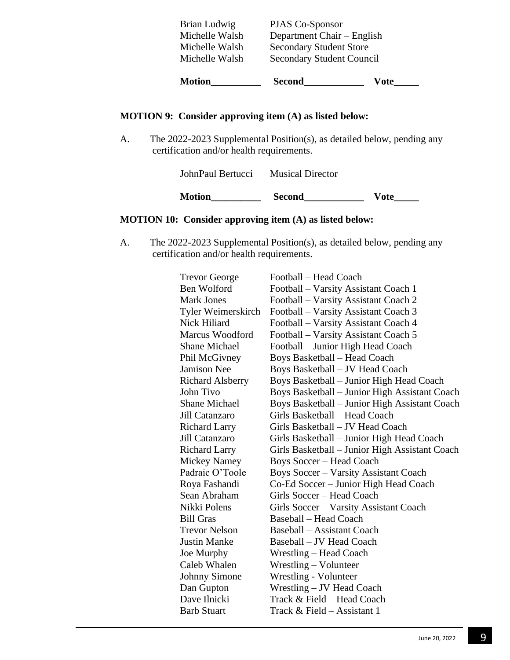| <b>Motion</b>  | <b>Second</b>                    | Vote |
|----------------|----------------------------------|------|
| Michelle Walsh | <b>Secondary Student Council</b> |      |
| Michelle Walsh | <b>Secondary Student Store</b>   |      |
| Michelle Walsh | Department Chair – English       |      |
| Brian Ludwig   | PJAS Co-Sponsor                  |      |

## **MOTION 9: Consider approving item (A) as listed below:**

A. The 2022-2023 Supplemental Position(s), as detailed below, pending any certification and/or health requirements.

| <b>Motion</b>     | <b>Second</b>           | <b>Vote</b> |  |
|-------------------|-------------------------|-------------|--|
| JohnPaul Bertucci | <b>Musical Director</b> |             |  |

## **MOTION 10: Consider approving item (A) as listed below:**

A. The 2022-2023 Supplemental Position(s), as detailed below, pending any certification and/or health requirements.

| <b>Trevor George</b>    | Football - Head Coach                          |
|-------------------------|------------------------------------------------|
| Ben Wolford             | Football – Varsity Assistant Coach 1           |
| <b>Mark Jones</b>       | Football – Varsity Assistant Coach 2           |
| Tyler Weimerskirch      | Football – Varsity Assistant Coach 3           |
| Nick Hiliard            | Football – Varsity Assistant Coach 4           |
| Marcus Woodford         | Football - Varsity Assistant Coach 5           |
| <b>Shane Michael</b>    | Football - Junior High Head Coach              |
| Phil McGivney           | <b>Boys Basketball - Head Coach</b>            |
| Jamison Nee             | Boys Basketball - JV Head Coach                |
| <b>Richard Alsberry</b> | Boys Basketball – Junior High Head Coach       |
| John Tivo               | Boys Basketball - Junior High Assistant Coach  |
| <b>Shane Michael</b>    | Boys Basketball - Junior High Assistant Coach  |
| Jill Catanzaro          | Girls Basketball - Head Coach                  |
| <b>Richard Larry</b>    | Girls Basketball – JV Head Coach               |
| Jill Catanzaro          | Girls Basketball - Junior High Head Coach      |
| <b>Richard Larry</b>    | Girls Basketball – Junior High Assistant Coach |
| Mickey Namey            | <b>Boys Soccer – Head Coach</b>                |
| Padraic O'Toole         | <b>Boys Soccer – Varsity Assistant Coach</b>   |
| Roya Fashandi           | Co-Ed Soccer - Junior High Head Coach          |
| Sean Abraham            | Girls Soccer - Head Coach                      |
| Nikki Polens            | Girls Soccer – Varsity Assistant Coach         |
| <b>Bill Gras</b>        | <b>Baseball – Head Coach</b>                   |
| <b>Trevor Nelson</b>    | Baseball – Assistant Coach                     |
| <b>Justin Manke</b>     | Baseball – JV Head Coach                       |
| Joe Murphy              | Wrestling – Head Coach                         |
| Caleb Whalen            | Wrestling – Volunteer                          |
| <b>Johnny Simone</b>    | Wrestling - Volunteer                          |
| Dan Gupton              | Wrestling – JV Head Coach                      |
| Dave Ilnicki            | Track & Field – Head Coach                     |
| <b>Barb Stuart</b>      | Track $&$ Field – Assistant 1                  |
|                         |                                                |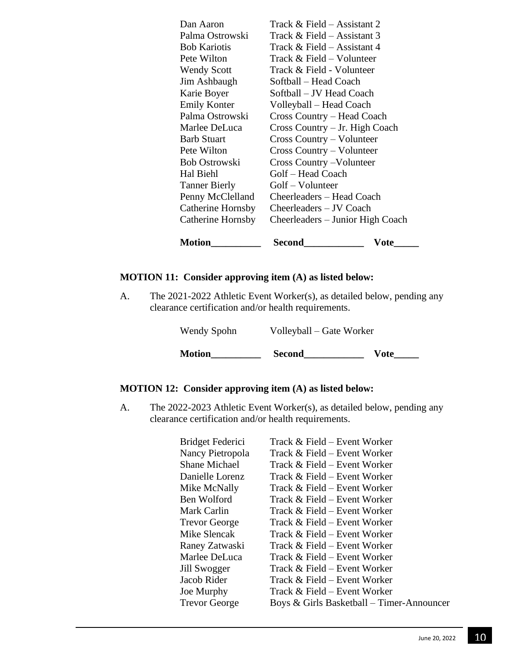| <b>Motion</b>        | Second                           | Vote |
|----------------------|----------------------------------|------|
| Catherine Hornsby    | Cheerleaders – Junior High Coach |      |
| Catherine Hornsby    | Cheerleaders - JV Coach          |      |
| Penny McClelland     | Cheerleaders - Head Coach        |      |
| <b>Tanner Bierly</b> | Golf – Volunteer                 |      |
| Hal Biehl            | Golf - Head Coach                |      |
| <b>Bob Ostrowski</b> | <b>Cross Country – Volunteer</b> |      |
| Pete Wilton          | Cross Country – Volunteer        |      |
| <b>Barb Stuart</b>   | Cross Country – Volunteer        |      |
| Marlee DeLuca        | Cross Country – Jr. High Coach   |      |
| Palma Ostrowski      | Cross Country - Head Coach       |      |
| <b>Emily Konter</b>  | Volleyball – Head Coach          |      |
| Karie Boyer          | Softball – JV Head Coach         |      |
| Jim Ashbaugh         | Softball – Head Coach            |      |
| <b>Wendy Scott</b>   | Track & Field - Volunteer        |      |
| Pete Wilton          | Track & Field – Volunteer        |      |
| <b>Bob Kariotis</b>  | Track & Field – Assistant 4      |      |
| Palma Ostrowski      | Track & Field – Assistant 3      |      |
| Dan Aaron            | Track & Field – Assistant 2      |      |

### **MOTION 11: Consider approving item (A) as listed below:**

A. The 2021-2022 Athletic Event Worker(s), as detailed below, pending any clearance certification and/or health requirements.

| <b>Motion</b> | <b>Second</b>            | <b>Vote</b> |
|---------------|--------------------------|-------------|
| Wendy Spohn   | Volleyball – Gate Worker |             |

## **MOTION 12: Consider approving item (A) as listed below:**

A. The 2022-2023 Athletic Event Worker(s), as detailed below, pending any clearance certification and/or health requirements.

| Bridget Federici     | Track & Field – Event Worker              |
|----------------------|-------------------------------------------|
| Nancy Pietropola     | Track & Field – Event Worker              |
| <b>Shane Michael</b> | Track & Field – Event Worker              |
| Danielle Lorenz      | Track & Field – Event Worker              |
| Mike McNally         | Track $&$ Field – Event Worker            |
| Ben Wolford          | Track & Field – Event Worker              |
| Mark Carlin          | Track & Field – Event Worker              |
| <b>Trevor George</b> | Track & Field – Event Worker              |
| Mike Slencak         | Track & Field – Event Worker              |
| Raney Zatwaski       | Track $&$ Field – Event Worker            |
| Marlee DeLuca        | Track & Field – Event Worker              |
| Jill Swogger         | Track $& Field - Event Worker$            |
| Jacob Rider          | Track & Field – Event Worker              |
| Joe Murphy           | Track & Field – Event Worker              |
| <b>Trevor George</b> | Boys & Girls Basketball – Timer-Announcer |
|                      |                                           |